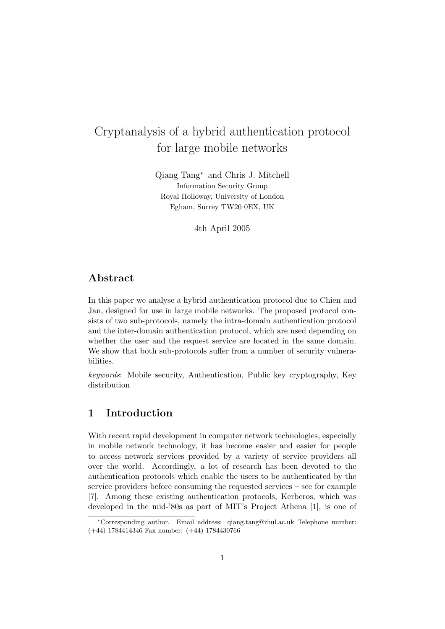# Cryptanalysis of a hybrid authentication protocol for large mobile networks

Qiang Tang<sup>∗</sup> and Chris J. Mitchell Information Security Group Royal Holloway, University of London Egham, Surrey TW20 0EX, UK

4th April 2005

### Abstract

In this paper we analyse a hybrid authentication protocol due to Chien and Jan, designed for use in large mobile networks. The proposed protocol consists of two sub-protocols, namely the intra-domain authentication protocol and the inter-domain authentication protocol, which are used depending on whether the user and the request service are located in the same domain. We show that both sub-protocols suffer from a number of security vulnerabilities.

keywords: Mobile security, Authentication, Public key cryptography, Key distribution

# 1 Introduction

With recent rapid development in computer network technologies, especially in mobile network technology, it has become easier and easier for people to access network services provided by a variety of service providers all over the world. Accordingly, a lot of research has been devoted to the authentication protocols which enable the users to be authenticated by the service providers before consuming the requested services – see for example [7]. Among these existing authentication protocols, Kerberos, which was developed in the mid-'80s as part of MIT's Project Athena [1], is one of

<sup>∗</sup>Corresponding author. Email address: qiang.tang@rhul.ac.uk Telephone number: (+44) 1784414346 Fax number: (+44) 1784430766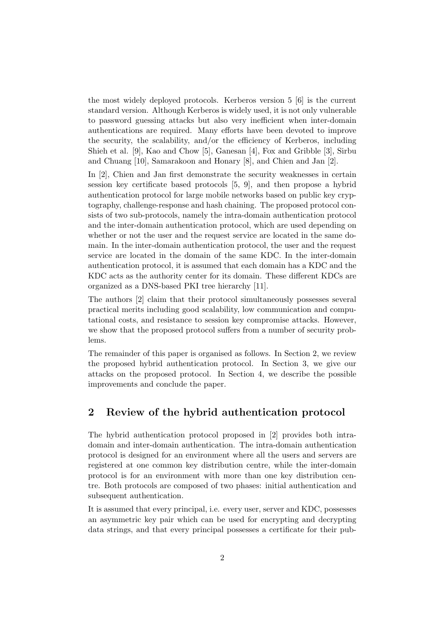the most widely deployed protocols. Kerberos version 5 [6] is the current standard version. Although Kerberos is widely used, it is not only vulnerable to password guessing attacks but also very inefficient when inter-domain authentications are required. Many efforts have been devoted to improve the security, the scalability, and/or the efficiency of Kerberos, including Shieh et al. [9], Kao and Chow [5], Ganesan [4], Fox and Gribble [3], Sirbu and Chuang [10], Samarakoon and Honary [8], and Chien and Jan [2].

In [2], Chien and Jan first demonstrate the security weaknesses in certain session key certificate based protocols [5, 9], and then propose a hybrid authentication protocol for large mobile networks based on public key cryptography, challenge-response and hash chaining. The proposed protocol consists of two sub-protocols, namely the intra-domain authentication protocol and the inter-domain authentication protocol, which are used depending on whether or not the user and the request service are located in the same domain. In the inter-domain authentication protocol, the user and the request service are located in the domain of the same KDC. In the inter-domain authentication protocol, it is assumed that each domain has a KDC and the KDC acts as the authority center for its domain. These different KDCs are organized as a DNS-based PKI tree hierarchy [11].

The authors [2] claim that their protocol simultaneously possesses several practical merits including good scalability, low communication and computational costs, and resistance to session key compromise attacks. However, we show that the proposed protocol suffers from a number of security problems.

The remainder of this paper is organised as follows. In Section 2, we review the proposed hybrid authentication protocol. In Section 3, we give our attacks on the proposed protocol. In Section 4, we describe the possible improvements and conclude the paper.

### 2 Review of the hybrid authentication protocol

The hybrid authentication protocol proposed in [2] provides both intradomain and inter-domain authentication. The intra-domain authentication protocol is designed for an environment where all the users and servers are registered at one common key distribution centre, while the inter-domain protocol is for an environment with more than one key distribution centre. Both protocols are composed of two phases: initial authentication and subsequent authentication.

It is assumed that every principal, i.e. every user, server and KDC, possesses an asymmetric key pair which can be used for encrypting and decrypting data strings, and that every principal possesses a certificate for their pub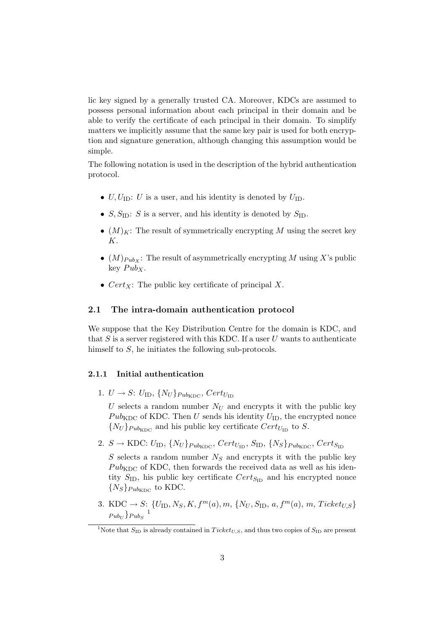lic key signed by a generally trusted CA. Moreover, KDCs are assumed to possess personal information about each principal in their domain and be able to verify the certificate of each principal in their domain. To simplify matters we implicitly assume that the same key pair is used for both encryption and signature generation, although changing this assumption would be simple.

The following notation is used in the description of the hybrid authentication protocol.

- $U, U_{\text{ID}}$ : U is a user, and his identity is denoted by  $U_{\text{ID}}$ .
- $S, S_{\text{ID}}$ : S is a server, and his identity is denoted by  $S_{\text{ID}}$ .
- $(M)_K$ : The result of symmetrically encrypting M using the secret key K.
- $(M)_{PubX}$ : The result of asymmetrically encrypting M using X's public key  $Pub<sub>X</sub>$ .
- $Cert_X$ : The public key certificate of principal X.

### 2.1 The intra-domain authentication protocol

We suppose that the Key Distribution Centre for the domain is KDC, and that  $S$  is a server registered with this KDC. If a user  $U$  wants to authenticate himself to S, he initiates the following sub-protocols.

#### 2.1.1 Initial authentication

1.  $U \rightarrow S: U_{\text{ID}}, \{N_U\}_{Pub_{\text{KDC}}}, Cert_{U_{\text{ID}}}$ 

U selects a random number  $N_U$  and encrypts it with the public key  $Pub_{KDC}$  of KDC. Then U sends his identity  $U_{ID}$ , the encrypted nonce  $\{N_U\}_{Pub_{KDC}}$  and his public key certificate  $Cert_{U_{ID}}$  to S.

2.  $S \rightarrow \text{KDC: } U_{\text{ID}}, \{N_U\}_{Pub_{\text{KDC}}}, \text{Cert}_{U_{\text{ID}}}, \text{S}_{\text{ID}}, \{N_S\}_{Pub_{\text{KDC}}}, \text{Cert}_{S_{\text{ID}}}$ 

S selects a random number  $N<sub>S</sub>$  and encrypts it with the public key  $Pub<sub>KDC</sub>$  of KDC, then forwards the received data as well as his identity  $S_{\text{ID}}$ , his public key certificate  $Cert_{S_{\text{ID}}}$  and his encrypted nonce  ${N_S}_{Pub_{\text{KDC}}}$  to KDC.

3. KDC  $\rightarrow S: \{U_{\text{ID}}, N_S, K, f^m(a), m, \{N_U, S_{\text{ID}}, a, f^m(a), m, Ticket_{U,S}\}\$  $Pub_U\}$  $Pub_S$ <sup>1</sup>

<sup>&</sup>lt;sup>1</sup>Note that  $S_{\text{ID}}$  is already contained in Ticket<sub>U.S</sub>, and thus two copies of  $S_{\text{ID}}$  are present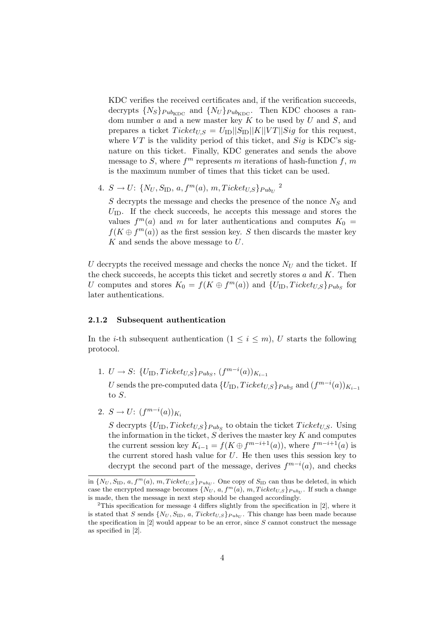KDC verifies the received certificates and, if the verification succeeds, decrypts  $\{N_S\}_{Pub_{KDC}}$  and  $\{N_U\}_{Pub_{KDC}}$ . Then KDC chooses a random number  $\alpha$  and a new master key  $\tilde{K}$  to be used by  $U$  and  $S$ , and prepares a ticket  $Ticket_{US} = U_{ID} ||S_{ID}||K||VT||Sig$  for this request, where  $VT$  is the validity period of this ticket, and  $Sig$  is KDC's signature on this ticket. Finally, KDC generates and sends the above message to S, where  $f^m$  represents m iterations of hash-function  $f, m$ is the maximum number of times that this ticket can be used.

4.  $S \to U: \{N_U, S_{\text{ID}}, a, f^m(a), m, Ticket_{U,S}\}_{PubU}^2$ 

 $S$  decrypts the message and checks the presence of the nonce  $N_S$  and  $U_{\text{ID}}$ . If the check succeeds, he accepts this message and stores the values  $f^m(a)$  and m for later authentications and computes  $K_0 =$  $f(K \oplus f<sup>m</sup>(a))$  as the first session key. S then discards the master key  $K$  and sends the above message to  $U$ .

U decrypts the received message and checks the nonce  $N_U$  and the ticket. If the check succeeds, he accepts this ticket and secretly stores  $a$  and  $K$ . Then U computes and stores  $K_0 = f(K \oplus f^m(a))$  and  $\{U_{\text{ID}}, Ticket_{U,S}\}_{Pub_S}$  for later authentications.

#### 2.1.2 Subsequent authentication

In the *i*-th subsequent authentication  $(1 \leq i \leq m)$ , U starts the following protocol.

1.  $U \to S: \{U_{\text{ID}}, Ticket_{U,S}\}_{Pub_{S}}, (f^{m-i}(a))_{K_{i-1}}$ 

U sends the pre-computed data  $\{U_{\rm ID}, Ticket_{U,S}\}_{Pub_{S}}$  and  $(f^{m-i}(a))_{K_{i-1}}$ to S.

2.  $S \to U: (f^{m-i}(a))_{K_i}$ 

S decrypts  $\{U_{\text{ID}}, Ticket_{U,S}\}_{Pub_{S}}$  to obtain the ticket  $Ticket_{U,S}$ . Using the information in the ticket,  $S$  derives the master key  $K$  and computes the current session key  $K_{i-1} = f(K \oplus f^{m-i+1}(a))$ , where  $f^{m-i+1}(a)$  is the current stored hash value for  $U$ . He then uses this session key to decrypt the second part of the message, derives  $f^{m-i}(a)$ , and checks

in  $\{N_U, S_{\text{ID}}, a, f^m(a), m, Ticket_{U,S}\}_{PubU}$ . One copy of  $S_{\text{ID}}$  can thus be deleted, in which case the encrypted message becomes  $\{N_U, a, f^m(a), m, Ticket_{U,S}\}_{Pub_U}$ . If such a change is made, then the message in next step should be changed accordingly.

<sup>&</sup>lt;sup>2</sup>This specification for message 4 differs slightly from the specification in [2], where it is stated that S sends  $\{N_U, S_{\text{ID}}, a, \text{Ticket}_{U,S}\}_{Pub_U}$ . This change has been made because the specification in  $[2]$  would appear to be an error, since S cannot construct the message as specified in [2].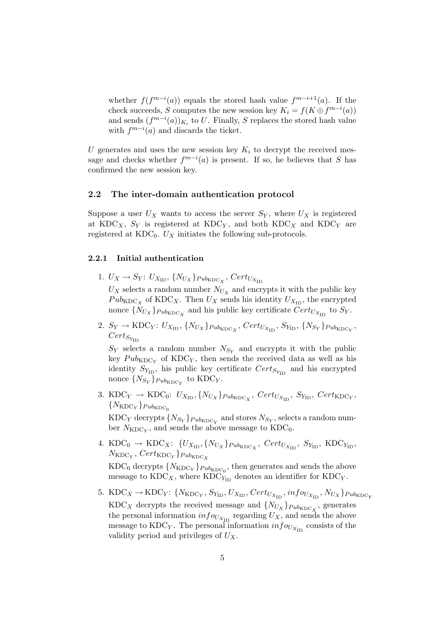whether  $f(f^{m-i}(a))$  equals the stored hash value  $f^{m-i+1}(a)$ . If the check succeeds, S computes the new session key  $K_i = f(K \oplus f^{m-i}(a))$ and sends  $(f^{m-i}(a))_{K_i}$  to U. Finally, S replaces the stored hash value with  $f^{m-i}(a)$  and discards the ticket.

U generates and uses the new session key  $K_i$  to decrypt the received message and checks whether  $f^{m-i}(a)$  is present. If so, he believes that S has confirmed the new session key.

#### 2.2 The inter-domain authentication protocol

Suppose a user  $U_X$  wants to access the server  $S_Y$ , where  $U_X$  is registered at  $KDC_X$ ,  $S_Y$  is registered at  $KDC_Y$ , and both  $KDC_X$  and  $KDC_Y$  are registered at  $KDC_0$ .  $U_X$  initiates the following sub-protocols.

### 2.2.1 Initial authentication

1.  $U_X \rightarrow S_Y$ :  $U_{X_{\text{ID}}}, \{N_{U_X}\}_{Pub_{\text{KDC}_X}}, \text{Cert}_{U_{X_{\text{ID}}}}$ 

 $U_X$  selects a random number  $N_{U_X}$  and encrypts it with the public key  $Pub<sub>KDC</sub><sub>X</sub>$  of KDC<sub>X</sub>. Then  $U<sub>X</sub>$  sends his identity  $U<sub>X<sub>ID</sub></sub>$ , the encrypted nonce  $\{N_{U_X}\}_{Pub_{\text{KDC}_X}}$  and his public key certificate  $Cert_{U_{X_{\text{ID}}}}$  to  $S_Y$ .

2.  $S_Y \to \text{KDC}_Y$ :  $U_{X_{\text{ID}}}, \{N_{U_X}\}_{\text{PubKDC}_X}, \text{Cert}_{U_{X_{\text{ID}}}}, S_{Y_{\text{ID}}}, \{N_{S_Y}\}_{\text{PubKDC}_Y},$  $Cert_{S_{Y_{1D}}}$ 

 $S_Y$  selects a random number  $N_{S_Y}$  and encrypts it with the public key  $Pub<sub>KDCY</sub>$  of  $KDC<sub>Y</sub>$ , then sends the received data as well as his identity  $S_{Y_{\text{ID}}},$  his public key certificate  $Cert_{S_{Y_{\text{ID}}}}$  and his encrypted nonce  $\{N_{S_Y}\}_{Pub_{\mathrm{KDC}_Y}}$  to  $\mathrm{KDC}_Y$ .

3. KDC<sub>Y</sub>  $\rightarrow$  KDC<sub>0</sub>:  $U_{X_{\text{ID}}}, \{N_{U_X}\}_{Pub_{\text{KDC}_X}},$  Cert<sub>U<sub>X<sub>ID</sub></sub>, S<sub>Y<sub>ID</sub></sub>, Cert<sub>KDC<sub>Y</sub></sub>,</sub>  ${N_{\textrm{KDC}_Y}}_{Pub_{\textrm{KDC}_0}}$ 

 $\mathrm{KDC}_Y$  decrypts  $\{N_{S_Y}\}_{Pub_{\mathrm{KDC}_Y}}$  and stores  $N_{S_Y},$  selects a random number  $N_{\text{KDC}_Y}$ , and sends the above message to  $\text{KDC}_0$ .

- 4. KDC<sub>0</sub>  $\rightarrow$  KDC<sub>X</sub>:  $\{U_{X_{\text{ID}}}, \{N_{U_X}\}_{\text{PubKDC}_X}, \text{Cert}_{U_{X_{\text{ID}}}}, \text{ } S_{Y_{\text{ID}}}, \text{ KDC}_{Y_{\text{ID}}}, \text{ }$  $N_{\mathrm{KDC}_Y}, \mathit{Cert}_{\mathrm{KDC}_Y} \}_{Pub_{\mathrm{KDC}_X}}$  $\rm KDC_0$  decrypts  ${N_{\rm KDC_Y}}_{Pub_{\rm KDC_0}}$ , then generates and sends the above message to  $KDC_X$ , where  $KDC_{Y_D}$  denotes an identifier for  $KDC_Y$ .
- 5. KDC<sub>X</sub>  $\rightarrow$  KDC<sub>Y</sub>: { $N_{\text{KDC}_Y}$ ,  $S_{Y_{\text{ID}}}$ ,  $U_{X_{\text{ID}}}$ ,  $Cert_{U_{X_{\text{ID}}}}$ ,  $info_{U_{X_{\text{ID}}}}$ ,  $N_{U_X}$ } $_{Pub_{\text{KDC}_Y}}$ KDC<sub>X</sub> decrypts the received message and  $\{N_{U_X}\}_{Pub_{KDC_X}}$ , generates the personal information  $info_{U_{X_{\text{ID}}}}$  regarding  $U_X$ , and sends the above message to KDC<sub>Y</sub>. The personal information  $info_{U_{X_{\text{ID}}}}$  consists of the validity period and privileges of  $U_X$ .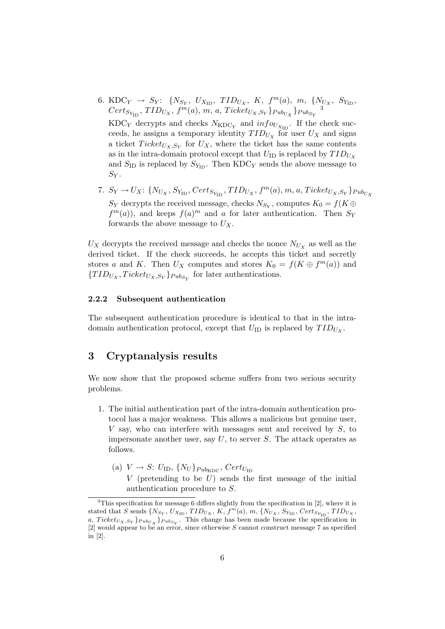- 6. KDC<sub>Y</sub>  $\rightarrow$  S<sub>Y</sub>: {N<sub>S<sub>Y</sub></sub>, U<sub>X<sub>ID</sub></sub>, TID<sub>U<sub>X</sub></sub>, K, f<sup>m</sup>(a), m, {N<sub>U<sub>X</sub></sub>, S<sub>Y<sub>ID</sub></sub>,  $Cert_{S_{Y_{ID}}}, TID_{U_X}, f^m(a), m, a, Ticket_{U_X, S_Y}$ } $_{Pub_{U_X}}$ } $_{Pub_{S_Y}}$ 3 KDC<sub>Y</sub> decrypts and checks  $N_{\text{KDC}_Y}$  and  $info_{U_{X_{\text{ID}}}}$ . If the check succeeds, he assigns a temporary identity  $TID_{U_X}$  for user  $U_X$  and signs a ticket  $Ticket_{U_X, S_Y}$  for  $U_X$ , where the ticket has the same contents
	- as in the intra-domain protocol except that  $U_{\text{ID}}$  is replaced by  $TID_{U_x}$ and  $S_{\text{ID}}$  is replaced by  $S_{Y_{\text{ID}}}$ . Then KDC<sub>Y</sub> sends the above message to  $S_Y$ .
- 7.  $S_Y \rightarrow U_X$ : { $N_{U_X}, S_{Y_{\text{ID}}}, Cert_{S_{Y_{\text{ID}}}}, TID_{U_X}, f^m(a), m, a, Ticket_{U_X, S_Y}$ } $_{Pub_{U_X}}$  $S_Y$  decrypts the received message, checks  $N_{S_Y},$  computes  $K_0 = f(K \oplus$  $f<sup>m</sup>(a)$ , and keeps  $f(a)<sup>m</sup>$  and a for later authentication. Then  $S<sub>Y</sub>$ forwards the above message to  $U_X$ .

 $U_X$  decrypts the received message and checks the nonce  $N_{U_X}$  as well as the derived ticket. If the check succeeds, he accepts this ticket and secretly stores a and K. Then  $U_X$  computes and stores  $K_0 = f(K \oplus f^m(a))$  and  $\{TID_{U_X}, Ticket_{U_X, S_Y}\}$   $_{Pub_{S_Y}}$  for later authentications.

#### 2.2.2 Subsequent authentication

The subsequent authentication procedure is identical to that in the intradomain authentication protocol, except that  $U_{\text{ID}}$  is replaced by  $TID_{U_X}$ .

## 3 Cryptanalysis results

We now show that the proposed scheme suffers from two serious security problems.

- 1. The initial authentication part of the intra-domain authentication protocol has a major weakness. This allows a malicious but genuine user, V say, who can interfere with messages sent and received by S, to impersonate another user, say  $U$ , to server  $S$ . The attack operates as follows.
	- (a)  $V \rightarrow S: U_{\text{ID}}, \{N_U\}_{Pub_{\text{KDC}}}, Cert_{U_{\text{ID}}}$ V (pretending to be  $U$ ) sends the first message of the initial authentication procedure to S.

 $3$ This specification for message 6 differs slightly from the specification in [2], where it is stated that S sends  $\{N_{S_Y}, U_{X_{\text{ID}}}, TID_{U_X}, K, f^m(a), m, \{N_{U_X}, S_{Y_{\text{ID}}}, Cert_{S_{Y_{\text{ID}}}}, TID_{U_X},$ a,  $Ticket_{U_X, S_Y}$   $_{Pub_{U_X}}$   $_{Pub_{S_Y}}$ . This change has been made because the specification in [2] would appear to be an error, since otherwise S cannot construct message 7 as specified in [2].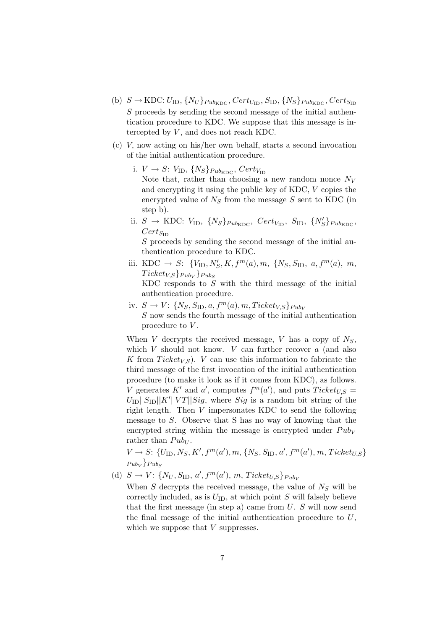- (b)  $S \rightarrow KDC: U_{ID}, \{N_U\}_{Pub_{KDC}}, Cert_{U_{ID}}, S_{ID}, \{N_S\}_{Pub_{KDC}}, Cert_{S_{ID}}$ S proceeds by sending the second message of the initial authentication procedure to KDC. We suppose that this message is intercepted by  $V$ , and does not reach KDC.
- (c) V, now acting on his/her own behalf, starts a second invocation of the initial authentication procedure.
	- i.  $V \rightarrow S$ :  $V_{\text{ID}}, \{N_S\}_{Pub_{\text{KDC}}}, Cert_{V_{\text{ID}}}$ Note that, rather than choosing a new random nonce  $N_V$ and encrypting it using the public key of KDC, V copies the encrypted value of  $N<sub>S</sub>$  from the message S sent to KDC (in step b).
	- ii.  $S \rightarrow \text{KDC: } V_{\text{ID}}, \{N_S\}_{Pub_{\text{KDC}}}, \text{Cert}_{V_{\text{ID}}}, \text{ S}_{\text{ID}}, \{N_S'\}_{Pub_{\text{KDC}}},$  $Cert_{S_{ID}}$ S proceeds by sending the second message of the initial au-

thentication procedure to KDC.

- iii. KDC  $\to S: \{V_{\text{ID}}, N'_{\text{S}}, K, f^{m}(a), m, \{N_{\text{S}}, S_{\text{ID}}, a, f^{m}(a), m, \}$  $Ticket_{V,S}\}_{Pub_{V}}\}_{Pub_{S}}$ KDC responds to  $S$  with the third message of the initial
- iv.  $S \to V: \{N_S, S_{\text{ID}}, a, f^m(a), m, Ticket_{V,S}\}_{PubV}$  ${\cal S}$  now sends the fourth message of the initial authentication procedure to  $V$ .

When V decrypts the received message, V has a copy of  $N<sub>S</sub>$ , which  $V$  should not know.  $V$  can further recover  $a$  (and also K from  $Ticket_{VS}$ ). V can use this information to fabricate the third message of the first invocation of the initial authentication procedure (to make it look as if it comes from KDC), as follows. V generates K' and a', computes  $f^m(a')$ , and puts  $Ticket_{U,S}$  =  $U_{\text{ID}}||S_{\text{ID}}||K'||VT||Sig$ , where  $Sig$  is a random bit string of the right length. Then V impersonates KDC to send the following message to S. Observe that S has no way of knowing that the encrypted string within the message is encrypted under  $Pub<sub>V</sub>$ rather than  $Pub_{U}$ .

 $V \to S: \{U_{\text{ID}}, N_S, K', f^m(a'), m, \{N_S, S_{\text{ID}}, a', f^m(a'), m, Ticket_{U,S}\}\$  $_{Pub_{V}}\}_{Pub_{S}}$ 

(d)  $S \to V: \{N_U, S_{\text{ID}}, a', f^m(a'), m, \text{Ticket}_{U,S}\}_{PubV}$ 

authentication procedure.

When S decrypts the received message, the value of  $N<sub>S</sub>$  will be correctly included, as is  $U_{\text{ID}}$ , at which point S will falsely believe that the first message (in step a) came from  $U$ .  $S$  will now send the final message of the initial authentication procedure to U, which we suppose that  $V$  suppresses.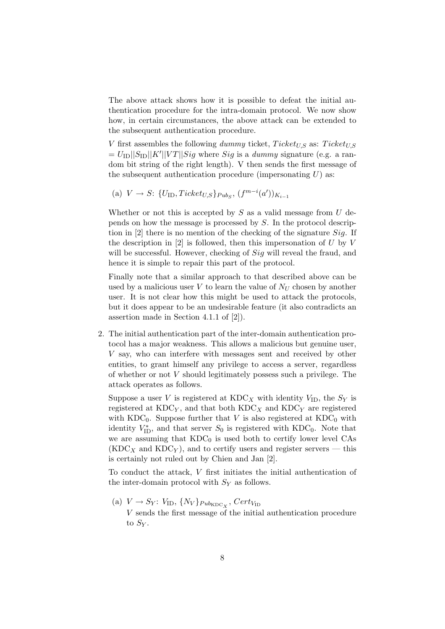The above attack shows how it is possible to defeat the initial authentication procedure for the intra-domain protocol. We now show how, in certain circumstances, the above attack can be extended to the subsequent authentication procedure.

V first assembles the following dummy ticket,  $Ticket_{U,S}$  as:  $Ticket_{U,S}$  $= U_{\text{ID}}||S_{\text{ID}}||K'||VT||Sig$  where  $Sig$  is a dummy signature (e.g. a random bit string of the right length). V then sends the first message of the subsequent authentication procedure (impersonating  $U$ ) as:

(a)  $V \to S: \{U_{\text{ID}}, Ticket_{U,S}\}_{Pub_{S}}, (f^{m-i}(a'))_{K_{i-1}}\}$ 

Whether or not this is accepted by  $S$  as a valid message from  $U$  depends on how the message is processed by S. In the protocol description in [2] there is no mention of the checking of the signature  $Sig$ . If the description in  $[2]$  is followed, then this impersonation of U by V will be successful. However, checking of  $Sig$  will reveal the fraud, and hence it is simple to repair this part of the protocol.

Finally note that a similar approach to that described above can be used by a malicious user  $V$  to learn the value of  $N_U$  chosen by another user. It is not clear how this might be used to attack the protocols, but it does appear to be an undesirable feature (it also contradicts an assertion made in Section 4.1.1 of [2]).

2. The initial authentication part of the inter-domain authentication protocol has a major weakness. This allows a malicious but genuine user, V say, who can interfere with messages sent and received by other entities, to grant himself any privilege to access a server, regardless of whether or not V should legitimately possess such a privilege. The attack operates as follows.

Suppose a user V is registered at  $KDC_X$  with identity  $V_{ID}$ , the  $S_Y$  is registered at  $KDC_Y$ , and that both  $KDC_X$  and  $KDC_Y$  are registered with  $KDC_0$ . Suppose further that V is also registered at  $KDC_0$  with identity  $V_{\text{ID}}^{*}$ , and that server  $S_0$  is registered with KDC<sub>0</sub>. Note that we are assuming that  $KDC_0$  is used both to certify lower level  $CAs$  $(KDC<sub>X</sub>$  and  $KDC<sub>Y</sub>$ ), and to certify users and register servers — this is certainly not ruled out by Chien and Jan [2].

To conduct the attack, V first initiates the initial authentication of the inter-domain protocol with  $S_Y$  as follows.

(a)  $V \rightarrow S_Y$ :  $V_{\text{ID}}, \{N_V\}_{Pub_{\text{KDC}_X}},$  Cert<sub> $V_{\text{ID}}$ </sub>

V sends the first message of the initial authentication procedure to  $S_Y$ .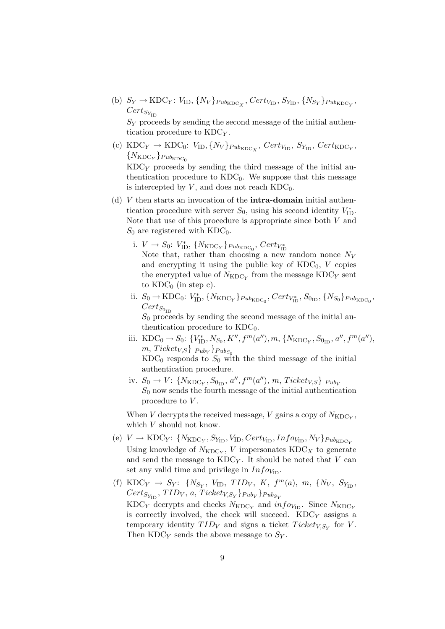(b)  $S_Y \to \text{KDC}_Y$ :  $V_{\text{ID}}, \{N_V\}_{Pub_{\text{KDC}_X}}, Cert_{V_{\text{ID}}}, S_{Y_{\text{ID}}}, \{N_{S_Y}\}_{Pub_{\text{KDC}_Y}},$  $Cert_{S_{Y_{ID}}}$ 

 $S_Y$  proceeds by sending the second message of the initial authentication procedure to KDC<sub>Y</sub>.

(c)  $\text{KDC}_Y \rightarrow \text{KDC}_0$ :  $V_{\text{ID}}, \{N_V\}_{Pub_{\text{KDC}_X}}, \text{Cert}_{V_{\text{ID}}}, \text{S}_{Y_{\text{ID}}}, \text{Cert}_{\text{KDC}_Y},$  ${N_{\textrm{KDC}_Y}}_{Pub_{\textrm{KDC}_0}}$ 

 $KDC<sub>Y</sub>$  proceeds by sending the third message of the initial authentication procedure to  $KDC_0$ . We suppose that this message is intercepted by  $V$ , and does not reach  $KDC_0$ .

- (d)  $V$  then starts an invocation of the **intra-domain** initial authentication procedure with server  $S_0$ , using his second identity  $V_{\text{ID}}^*$ . Note that use of this procedure is appropriate since both V and  $S_0$  are registered with KDC<sub>0</sub>.
	- i.  $V \to S_0$ :  $V_{\text{ID}}^*$ ,  $\{N_{\text{KDC}_Y}\}_{Pub_{\text{KDC}_0}}$ ,  $Cert_{V_{\text{ID}}^*}$ Note that, rather than choosing a new random nonce  $N_V$ and encrypting it using the public key of  $KDC_0$ , V copies the encrypted value of  $N_{\mathrm{KDC}_Y}$  from the message  $\mathrm{KDC}_Y$  sent to  $KDC_0$  (in step c).
	- ii.  $S_0 \to \text{KDC}_0$ :  $V_{\text{ID}}^*$ ,  $\{N_{\text{KDC}_Y}\}_{Pub_{\text{KDC}_0}}$ ,  $Cert_{V_{\text{ID}}^*}$ ,  $S_{0_{\text{ID}}}, \{N_{S_0}\}_{Pub_{\text{KDC}_0}}$ ,  $Cert_{S_{0_{ID}}}$  $S_0$  proceeds by sending the second message of the initial au-

thentication procedure to  $KDC_0$ .

- iii. KDC<sub>0</sub>  $\rightarrow$  S<sub>0</sub>: { $V_{\text{ID}}^*$ , N<sub>S<sub>0</sub></sub>, K'', f<sup>m</sup>(a''), m, {N<sub>KDC<sub>Y</sub></sub>, S<sub>0<sub>ID</sub>, a'', f<sup>m</sup>(a''),</sub>  $m, \text{Tickety}_{S}\}$   $_{Pub_{V}}\}$   $_{Pub_{S_{0}}}$  $KDC_0$  responds to  $S_0$  with the third message of the initial authentication procedure.
- iv.  $S_0 \to V$ : { $N_{\text{KDC}_Y}$ ,  $S_{0_{\text{ID}}}$ ,  $a'', f^m(a'')$ ,  $m$ ,  $Ticket_{V,S}$ }  $_{Pub_V}$  $S_0$  now sends the fourth message of the initial authentication procedure to  $V$ .

When V decrypts the received message, V gains a copy of  $N_{\text{KDC}_Y}$ , which  $V$  should not know.

- (e)  $V \rightarrow \text{KDC}_Y$ : { $N_{\text{KDC}_Y}$ ,  $S_{Y_{\text{ID}}}, V_{\text{ID}}$ ,  $Cert_{V_{\text{ID}}}, Inf_{V_{\text{ID}}}, N_V$ } $_{Pub_{\text{KDC}_Y}}$ Using knowledge of  $N_{\text{KDC}_Y}$ , V impersonates  $\text{KDC}_X$  to generate and send the message to  $KDC_Y$ . It should be noted that V can set any valid time and privilege in  $Info_{V_{ID}}$ .
- (f) KDC<sub>Y</sub>  $\rightarrow$  S<sub>Y</sub>: {N<sub>S<sub>Y</sub></sub>, V<sub>ID</sub>, *TID<sub>V</sub>*, *K*,  $f^m(a)$ , *m*, {N<sub>V</sub>, S<sub>Y<sub>ID</sub></sub>,  $Cert_{S_{Y_{\text{ID}}}},\allowbreak TID_{V},\allowbreak a,\allowbreak Ticket_{V,S_{Y}}\}$ Pub $_{V}\}$ Pub $_{S_{Y}}$ KDC<sub>Y</sub> decrypts and checks  $N_{\text{KDC}_Y}$  and  $info_{V_{\text{ID}}}$ . Since  $N_{\text{KDC}_Y}$ is correctly involved, the check will succeed.  $KDC<sub>Y</sub>$  assigns a temporary identity  $TID_V$  and signs a ticket  $Ticket_{V,S_Y}$  for V. Then  $KDC<sub>Y</sub>$  sends the above message to  $S<sub>Y</sub>$ .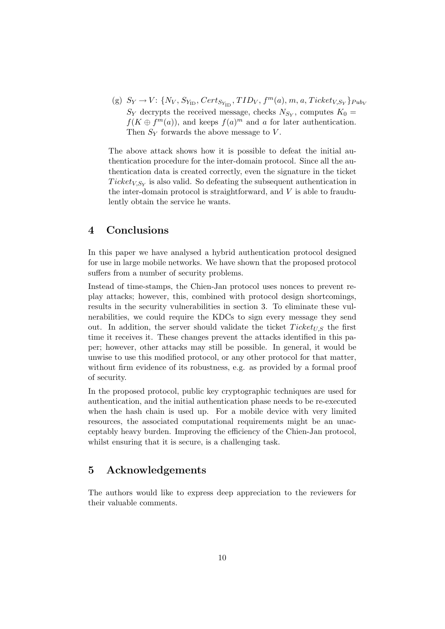(g)  $S_Y \rightarrow V: \{N_V, S_{Y_{\text{ID}}}, Cert_{S_{Y_{\text{ID}}}}, TID_V, f^m(a), m, a, Tickety_{S_Y}\}$   $_{Pub_V}$  $S_Y$  decrypts the received message, checks  $N_{S_Y}$ , computes  $K_0 =$  $f(K \oplus f^m(a))$ , and keeps  $f(a)^m$  and a for later authentication. Then  $S_Y$  forwards the above message to  $V$ .

The above attack shows how it is possible to defeat the initial authentication procedure for the inter-domain protocol. Since all the authentication data is created correctly, even the signature in the ticket  $Ticket_{V,S_Y}$  is also valid. So defeating the subsequent authentication in the inter-domain protocol is straightforward, and  $V$  is able to fraudulently obtain the service he wants.

## 4 Conclusions

In this paper we have analysed a hybrid authentication protocol designed for use in large mobile networks. We have shown that the proposed protocol suffers from a number of security problems.

Instead of time-stamps, the Chien-Jan protocol uses nonces to prevent replay attacks; however, this, combined with protocol design shortcomings, results in the security vulnerabilities in section 3. To eliminate these vulnerabilities, we could require the KDCs to sign every message they send out. In addition, the server should validate the ticket  $Ticket_{US}$  the first time it receives it. These changes prevent the attacks identified in this paper; however, other attacks may still be possible. In general, it would be unwise to use this modified protocol, or any other protocol for that matter, without firm evidence of its robustness, e.g. as provided by a formal proof of security.

In the proposed protocol, public key cryptographic techniques are used for authentication, and the initial authentication phase needs to be re-executed when the hash chain is used up. For a mobile device with very limited resources, the associated computational requirements might be an unacceptably heavy burden. Improving the efficiency of the Chien-Jan protocol, whilst ensuring that it is secure, is a challenging task.

## 5 Acknowledgements

The authors would like to express deep appreciation to the reviewers for their valuable comments.